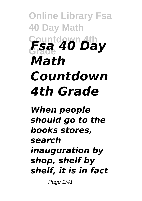## **Online Library Fsa 40 Day Math Countdown 4th Grade** *Fsa 40 Day Math Countdown 4th Grade*

*When people should go to the books stores, search inauguration by shop, shelf by shelf, it is in fact*

Page 1/41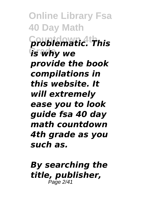**Online Library Fsa 40 Day Math Countdown 4th** *problematic. This* **Grade** *is why we provide the book compilations in this website. It will extremely ease you to look guide fsa 40 day math countdown 4th grade as you such as.*

*By searching the title, publisher,* Page 2/41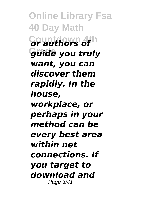**Online Library Fsa 40 Day Math Countdown 4th** *or authors of* **Grade** *guide you truly want, you can discover them rapidly. In the house, workplace, or perhaps in your method can be every best area within net connections. If you target to download and* Page 3/41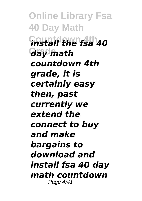**Online Library Fsa 40 Day Math Countdown 4th** *install the fsa 40* **Grade** *day math countdown 4th grade, it is certainly easy then, past currently we extend the connect to buy and make bargains to download and install fsa 40 day math countdown* Page 4/41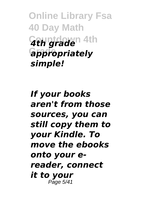**Online Library Fsa 40 Day Math Countdown 4th** *4th grade* **Grade** *appropriately simple!*

*If your books aren't from those sources, you can still copy them to your Kindle. To move the ebooks onto your ereader, connect it to your* Page 5/41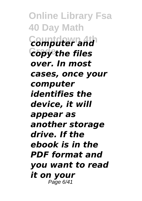**Online Library Fsa 40 Day Math Countdown 4th** *computer and* **Grade** *copy the files over. In most cases, once your computer identifies the device, it will appear as another storage drive. If the ebook is in the PDF format and you want to read it on your* Page 6/41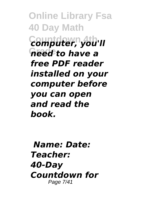**Online Library Fsa 40 Day Math Countdown 4th** *computer, you'll* **Grade** *need to have a free PDF reader installed on your computer before you can open and read the book.*

*Name: Date: Teacher: 40-Day Countdown for* Page 7/41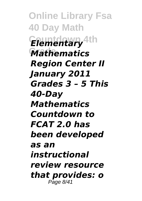**Online Library Fsa 40 Day Math Countdown 4th** *Elementary* **Grade** *Mathematics Region Center II January 2011 Grades 3 – 5 This 40-Day Mathematics Countdown to FCAT 2.0 has been developed as an instructional review resource that provides: o* Page 8/41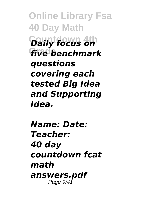**Online Library Fsa 40 Day Math Countdown 4th** *Daily focus on* **Grade** *five benchmark questions covering each tested Big Idea and Supporting Idea.*

*Name: Date: Teacher: 40 day countdown fcat math answers.pdf* Page 9/41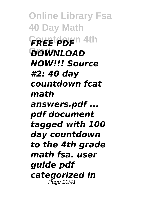**Online Library Fsa 40 Day Math FREE PDF**<sup>n 4th</sup> **Grade** *DOWNLOAD NOW!!! Source #2: 40 day countdown fcat math answers.pdf ... pdf document tagged with 100 day countdown to the 4th grade math fsa. user guide pdf categorized in* Page 10/41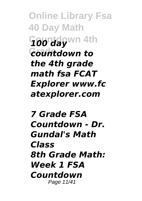**Online Library Fsa 40 Day Math Countdown 4th** *100 day* **Grade** *countdown to the 4th grade math fsa FCAT Explorer www.fc atexplorer.com*

*7 Grade FSA Countdown - Dr. Gundal's Math Class 8th Grade Math: Week 1 FSA Countdown* Page 11/41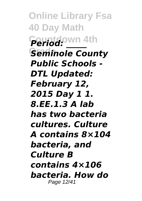**Online Library Fsa 40 Day Math Countdown 4th** *Period: \_\_\_\_\_* **Seminole County** *Public Schools - DTL Updated: February 12, 2015 Day 1 1. 8.EE.1.3 A lab has two bacteria cultures. Culture A contains 8×104 bacteria, and Culture B contains 4×106 bacteria. How do* Page 12/41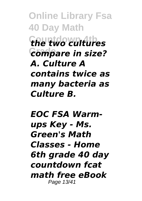**Online Library Fsa 40 Day Math Countdown 4th** *the two cultures*  $F$ compare in size? *A. Culture A contains twice as many bacteria as Culture B.*

*EOC FSA Warmups Key - Ms. Green's Math Classes - Home 6th grade 40 day countdown fcat math free eBook* Page 13/41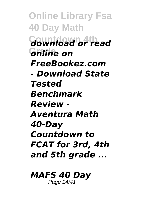**Online Library Fsa 40 Day Math Countdown 4th** *download or read* **Grade** *online on FreeBookez.com - Download State Tested Benchmark Review - Aventura Math 40-Day Countdown to FCAT for 3rd, 4th and 5th grade ...*

## *MAFS 40 Day*

Page 14/41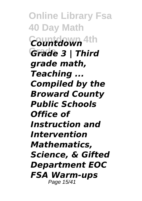**Online Library Fsa 40 Day Math Countdown 4th** *Countdown* **Grade** *Grade 3 | Third grade math, Teaching ... Compiled by the Broward County Public Schools Office of Instruction and Intervention Mathematics, Science, & Gifted Department EOC FSA Warm-ups* Page 15/41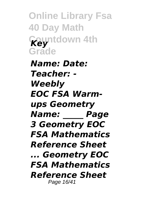**Online Library Fsa 40 Day Math Countdown 4th** *Key* **Grade**

*Name: Date: Teacher: - Weebly EOC FSA Warmups Geometry Name: \_\_\_\_\_ Page 3 Geometry EOC FSA Mathematics Reference Sheet ... Geometry EOC FSA Mathematics Reference Sheet* Page 16/41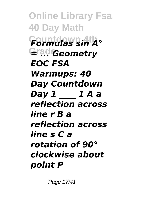**Online Library Fsa 40 Day Math Countdown 4th** *Formulas sin A°* **Grade** *= ... Geometry EOC FSA Warmups: 40 Day Countdown Day 1 \_\_\_\_ 1 A a reflection across line r B a reflection across line s C a rotation of 90° clockwise about point P*

Page 17/41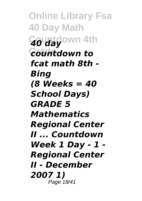**Online Library Fsa 40 Day Math Countdown 4th** *40 day* **Grade** *countdown to fcat math 8th - Bing (8 Weeks = 40 School Days) GRADE 5 Mathematics Regional Center II ... Countdown Week 1 Day - 1 - Regional Center II - December 2007 1)* Page 18/41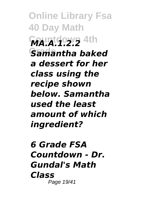**Online Library Fsa 40 Day Math MA.A.1.2.2** 4th **Samantha baked** *a dessert for her class using the recipe shown below. Samantha used the least amount of which ingredient?*

*6 Grade FSA Countdown - Dr. Gundal's Math Class* Page 19/41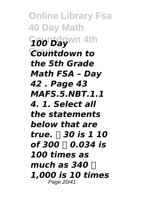**Online Library Fsa 40 Day Math Countdown 4th** *100 Day Countdown to the 5th Grade Math FSA – Day 42 . Page 43 MAFS.5.NBT.1.1 4. 1. Select all the statements below that are true. ⃝ 30 is 1 10 of 300 ⃝ 0.034 is 100 times as much as 340* □ *1,000 is 10 times* Page 20/41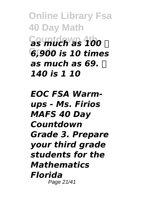**Online Library Fsa 40 Day Math Countdown 4th** *as much as 100 ⃝* **Grade** *6,900 is 10 times as much as 69. ⃝ 140 is 1 10*

*EOC FSA Warmups - Ms. Firios MAFS 40 Day Countdown Grade 3. Prepare your third grade students for the Mathematics Florida* Page 21/41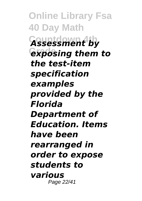**Online Library Fsa 40 Day Math Countdown 4th** *Assessment by* **Grade** *exposing them to the test-item specification examples provided by the Florida Department of Education. Items have been rearranged in order to expose students to various* Page 22/41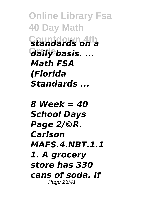**Online Library Fsa 40 Day Math Countdown 4th** *standards on a* **Grade** *daily basis. ... Math FSA (Florida Standards ...*

*8 Week = 40 School Days Page 2/©R. Carlson MAFS.4.NBT.1.1 1. A grocery store has 330 cans of soda. If* Page 23/41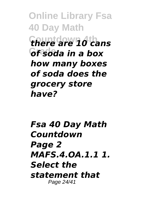**Online Library Fsa 40 Day Math Countdown 4th** *there are 10 cans* **Grade** *of soda in a box how many boxes of soda does the grocery store have?*

*Fsa 40 Day Math Countdown Page 2 MAFS.4.OA.1.1 1. Select the statement that* Page 24/41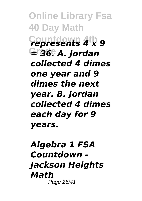**Online Library Fsa 40 Day Math Countdown 4th** *represents 4 x 9* **Grade** *= 36. A. Jordan collected 4 dimes one year and 9 dimes the next year. B. Jordan collected 4 dimes each day for 9 years.*

## *Algebra 1 FSA Countdown - Jackson Heights Math* Page 25/41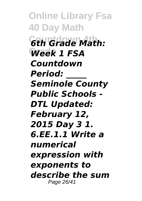**Online Library Fsa 40 Day Math Countdown 4th** *6th Grade Math:* Week 1 FSA *Countdown Period: \_\_\_\_\_ Seminole County Public Schools - DTL Updated: February 12, 2015 Day 3 1. 6.EE.1.1 Write a numerical expression with exponents to describe the sum* Page 26/41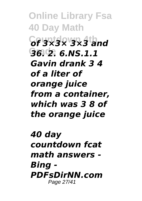**Online Library Fsa 40 Day Math Countdown 4th** *of 3×3× 3×3 and* **Grade** *36. 2. 6.NS.1.1 Gavin drank 3 4 of a liter of orange juice from a container, which was 3 8 of the orange juice*

*40 day countdown fcat math answers - Bing - PDFsDirNN.com* Page 27/41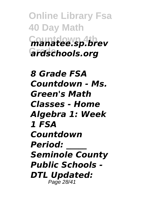**Online Library Fsa 40 Day Math Countdown 4th** *manatee.sp.brev* **Grade** *ardschools.org*

*8 Grade FSA Countdown - Ms. Green's Math Classes - Home Algebra 1: Week 1 FSA Countdown Period: \_\_\_\_\_ Seminole County Public Schools - DTL Updated:* Page 28/41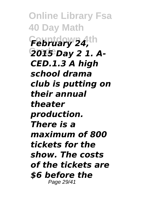**Online Library Fsa 40 Day Math** February 24,th **Grade** *2015 Day 2 1. A-CED.1.3 A high school drama club is putting on their annual theater production. There is a maximum of 800 tickets for the show. The costs of the tickets are \$6 before the* Page 29/41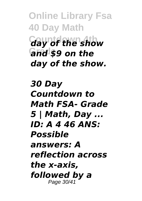**Online Library Fsa 40 Day Math** *day of the show* **Grade** *and \$9 on the day of the show.*

*30 Day Countdown to Math FSA- Grade 5 | Math, Day ... ID: A 4 46 ANS: Possible answers: A reflection across the x-axis, followed by a* Page 30/41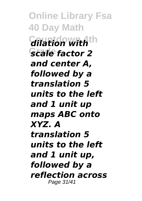**Online Library Fsa 40 Day Math** *dilation with***<sup>th</sup> Grade** *scale factor 2 and center A, followed by a translation 5 units to the left and 1 unit up maps ABC onto XYZ. A translation 5 units to the left and 1 unit up, followed by a reflection across* Page 31/41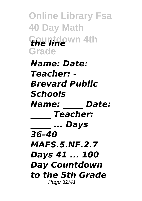**Online Library Fsa 40 Day Math Countdown 4th** *the line* **Grade**

*Name: Date: Teacher: - Brevard Public Schools Name: \_\_\_\_\_ Date: \_\_\_\_\_ Teacher: \_\_\_\_\_ ... Days 36–40 MAFS.5.NF.2.7 Days 41 ... 100 Day Countdown to the 5th Grade* Page 32/41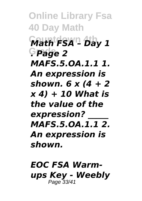**Online Library Fsa 40 Day Math Countdown 4th** *Math FSA – Day 1* **Grade** *. Page 2 MAFS.5.OA.1.1 1. An expression is shown. 6 x (4 + 2 x 4) + 10 What is the value of the expression? \_\_\_\_\_ MAFS.5.OA.1.1 2. An expression is shown.*

*EOC FSA Warmups Key - Weebly* Page 33/41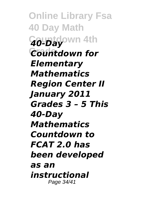**Online Library Fsa 40 Day Math Countdown 4th** *40-Day Countdown for Elementary Mathematics Region Center II January 2011 Grades 3 – 5 This 40-Day Mathematics Countdown to FCAT 2.0 has been developed as an instructional* Page 34/41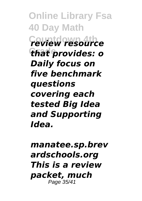**Online Library Fsa 40 Day Math Countdown 4th** *review resource* **Grade** *that provides: o Daily focus on five benchmark questions covering each tested Big Idea and Supporting Idea.*

*manatee.sp.brev ardschools.org This is a review packet, much* Page 35/41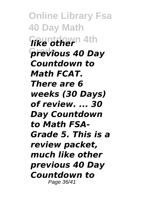**Online Library Fsa 40 Day Math** *fike othern* 4th **Grade** *previous 40 Day Countdown to Math FCAT. There are 6 weeks (30 Days) of review. ... 30 Day Countdown to Math FSA-Grade 5. This is a review packet, much like other previous 40 Day Countdown to* Page 36/41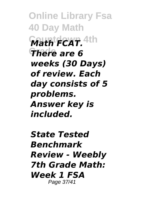**Online Library Fsa 40 Day Math**  $W$ ath FCAT. <sup>4th</sup> **There** are 6 *weeks (30 Days) of review. Each day consists of 5 problems. Answer key is included.*

*State Tested Benchmark Review - Weebly 7th Grade Math: Week 1 FSA* Page 37/41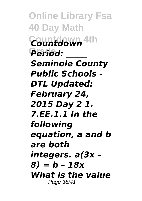**Online Library Fsa 40 Day Math Countdown 4th** *Countdown* **Grade** *Period: \_\_\_\_\_ Seminole County Public Schools - DTL Updated: February 24, 2015 Day 2 1. 7.EE.1.1 In the following equation, a and b are both integers. a(3x – 8) = b – 18x What is the value* Page 38/41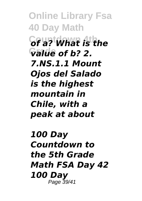**Online Library Fsa 40 Day Math Countdown 4th** *of a? What is the* **Grade** *value of b? 2. 7.NS.1.1 Mount Ojos del Salado is the highest mountain in Chile, with a peak at about*

*100 Day Countdown to the 5th Grade Math FSA Day 42 100 Day* Page 39/41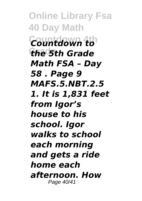**Online Library Fsa 40 Day Math Countdown 4th** *Countdown to* **Grade** *the 5th Grade Math FSA – Day 58 . Page 9 MAFS.5.NBT.2.5 1. It is 1,831 feet from Igor's house to his school. Igor walks to school each morning and gets a ride home each afternoon. How* Page 40/41